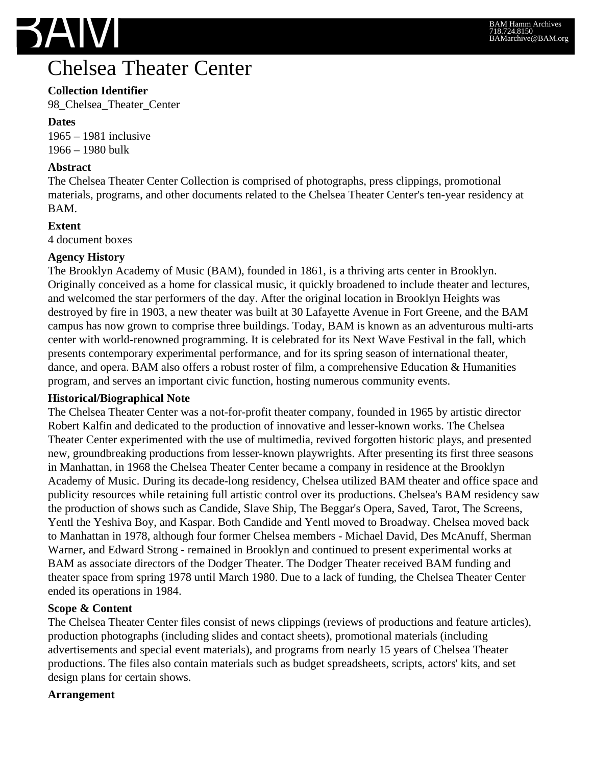

## **Chelsea Theater Center**

## **Collection Identifier**

98\_Chelsea\_Theater\_Center

**Dates** 1965 – 1981 inclusive 1966 – 1980 bulk

#### **Abstract**

The Chelsea Theater Center Collection is comprised of photographs, press clippings, promotional materials, programs, and other documents related to the Chelsea Theater Center's ten-year residency at BAM.

#### **Extent**

4 document boxes

#### **Agency History**

The Brooklyn Academy of Music (BAM), founded in 1861, is a thriving arts center in Brooklyn. Originally conceived as a home for classical music, it quickly broadened to include theater and lectures, and welcomed the star performers of the day. After the original location in Brooklyn Heights was destroyed by fire in 1903, a new theater was built at 30 Lafayette Avenue in Fort Greene, and the BAM campus has now grown to comprise three buildings. Today, BAM is known as an adventurous multi-arts center with world-renowned programming. It is celebrated for its Next Wave Festival in the fall, which presents contemporary experimental performance, and for its spring season of international theater, dance, and opera. BAM also offers a robust roster of film, a comprehensive Education & Humanities program, and serves an important civic function, hosting numerous community events.

#### **Historical/Biographical Note**

The Chelsea Theater Center was a not-for-profit theater company, founded in 1965 by artistic director Robert Kalfin and dedicated to the production of innovative and lesser-known works. The Chelsea Theater Center experimented with the use of multimedia, revived forgotten historic plays, and presented new, groundbreaking productions from lesser-known playwrights. After presenting its first three seasons in Manhattan, in 1968 the Chelsea Theater Center became a company in residence at the Brooklyn Academy of Music. During its decade-long residency, Chelsea utilized BAM theater and office space and publicity resources while retaining full artistic control over its productions. Chelsea's BAM residency saw the production of shows such as Candide, Slave Ship, The Beggar's Opera, Saved, Tarot, The Screens, Yentl the Yeshiva Boy, and Kaspar. Both Candide and Yentl moved to Broadway. Chelsea moved back to Manhattan in 1978, although four former Chelsea members - Michael David, Des McAnuff, Sherman Warner, and Edward Strong - remained in Brooklyn and continued to present experimental works at BAM as associate directors of the Dodger Theater. The Dodger Theater received BAM funding and theater space from spring 1978 until March 1980. Due to a lack of funding, the Chelsea Theater Center ended its operations in 1984.

#### **Scope & Content**

The Chelsea Theater Center files consist of news clippings (reviews of productions and feature articles), production photographs (including slides and contact sheets), promotional materials (including advertisements and special event materials), and programs from nearly 15 years of Chelsea Theater productions. The files also contain materials such as budget spreadsheets, scripts, actors' kits, and set design plans for certain shows.

#### **Arrangement**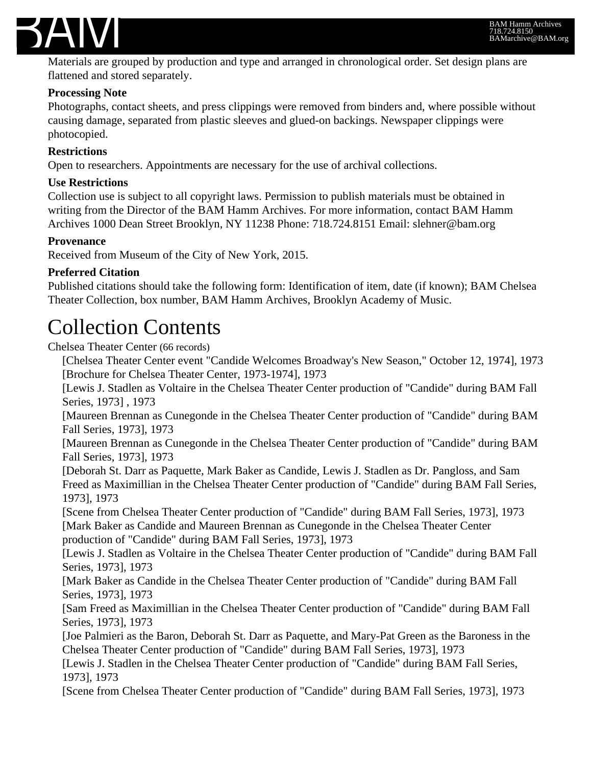

Materials are grouped by production and type and arranged in chronological order. Set design plans are flattened and stored separately.

#### **Processing Note**

Photographs, contact sheets, and press clippings were removed from binders and, where possible without causing damage, separated from plastic sleeves and glued-on backings. Newspaper clippings were photocopied.

### **Restrictions**

Open to researchers. Appointments are necessary for the use of archival collections.

#### **Use Restrictions**

Collection use is subject to all copyright laws. Permission to publish materials must be obtained in writing from the Director of the BAM Hamm Archives. For more information, contact BAM Hamm Archives 1000 Dean Street Brooklyn, NY 11238 Phone: 718.724.8151 Email: slehner@bam.org

#### **Provenance**

Received from Museum of the City of New York, 2015.

#### **Preferred Citation**

Published citations should take the following form: Identification of item, date (if known); BAM Chelsea Theater Collection, box number, BAM Hamm Archives, Brooklyn Academy of Music.

# Collection Contents

Chelsea Theater Center (66 records)

[Chelsea Theater Center event "Candide Welcomes Broadway's New Season," October 12, 1974], 1973 [Brochure for Chelsea Theater Center, 1973-1974], 1973

[Lewis J. Stadlen as Voltaire in the Chelsea Theater Center production of "Candide" during BAM Fall Series, 1973] , 1973

[Maureen Brennan as Cunegonde in the Chelsea Theater Center production of "Candide" during BAM Fall Series, 1973], 1973

[Maureen Brennan as Cunegonde in the Chelsea Theater Center production of "Candide" during BAM Fall Series, 1973], 1973

[Deborah St. Darr as Paquette, Mark Baker as Candide, Lewis J. Stadlen as Dr. Pangloss, and Sam Freed as Maximillian in the Chelsea Theater Center production of "Candide" during BAM Fall Series, 1973], 1973

[Scene from Chelsea Theater Center production of "Candide" during BAM Fall Series, 1973], 1973 [Mark Baker as Candide and Maureen Brennan as Cunegonde in the Chelsea Theater Center production of "Candide" during BAM Fall Series, 1973], 1973

[Lewis J. Stadlen as Voltaire in the Chelsea Theater Center production of "Candide" during BAM Fall Series, 1973], 1973

[Mark Baker as Candide in the Chelsea Theater Center production of "Candide" during BAM Fall Series, 1973], 1973

[Sam Freed as Maximillian in the Chelsea Theater Center production of "Candide" during BAM Fall Series, 1973], 1973

[Joe Palmieri as the Baron, Deborah St. Darr as Paquette, and Mary-Pat Green as the Baroness in the Chelsea Theater Center production of "Candide" during BAM Fall Series, 1973], 1973

[Lewis J. Stadlen in the Chelsea Theater Center production of "Candide" during BAM Fall Series, 1973], 1973

[Scene from Chelsea Theater Center production of "Candide" during BAM Fall Series, 1973], 1973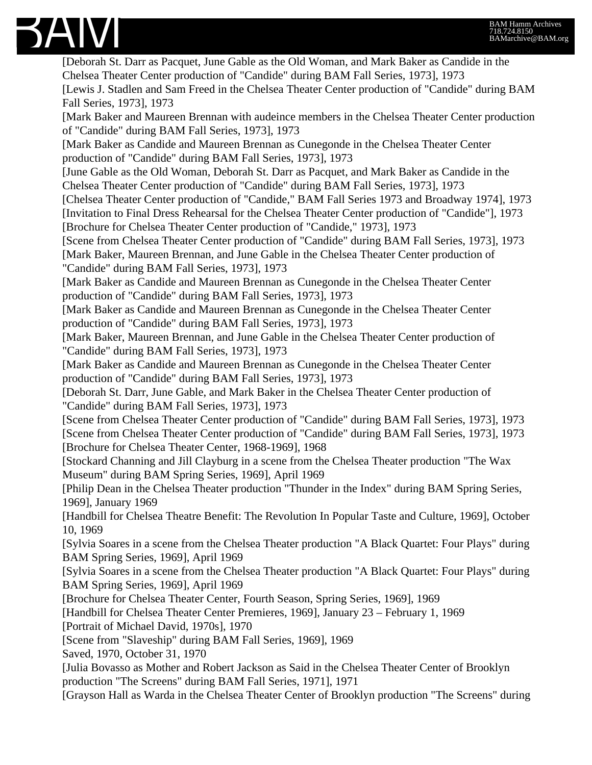

[Deborah St. Darr as Pacquet, June Gable as the Old Woman, and Mark Baker as Candide in the Chelsea Theater Center production of "Candide" during BAM Fall Series, 1973], 1973 [Lewis J. Stadlen and Sam Freed in the Chelsea Theater Center production of "Candide" during BAM Fall Series, 1973], 1973 [Mark Baker and Maureen Brennan with audeince members in the Chelsea Theater Center production of "Candide" during BAM Fall Series, 1973], 1973 [Mark Baker as Candide and Maureen Brennan as Cunegonde in the Chelsea Theater Center production of "Candide" during BAM Fall Series, 1973], 1973 [June Gable as the Old Woman, Deborah St. Darr as Pacquet, and Mark Baker as Candide in the Chelsea Theater Center production of "Candide" during BAM Fall Series, 1973], 1973 [Chelsea Theater Center production of "Candide," BAM Fall Series 1973 and Broadway 1974], 1973 [Invitation to Final Dress Rehearsal for the Chelsea Theater Center production of "Candide"], 1973 [Brochure for Chelsea Theater Center production of "Candide," 1973], 1973 [Scene from Chelsea Theater Center production of "Candide" during BAM Fall Series, 1973], 1973 [Mark Baker, Maureen Brennan, and June Gable in the Chelsea Theater Center production of "Candide" during BAM Fall Series, 1973], 1973 [Mark Baker as Candide and Maureen Brennan as Cunegonde in the Chelsea Theater Center production of "Candide" during BAM Fall Series, 1973], 1973 [Mark Baker as Candide and Maureen Brennan as Cunegonde in the Chelsea Theater Center production of "Candide" during BAM Fall Series, 1973], 1973 [Mark Baker, Maureen Brennan, and June Gable in the Chelsea Theater Center production of "Candide" during BAM Fall Series, 1973], 1973 [Mark Baker as Candide and Maureen Brennan as Cunegonde in the Chelsea Theater Center production of "Candide" during BAM Fall Series, 1973], 1973 [Deborah St. Darr, June Gable, and Mark Baker in the Chelsea Theater Center production of "Candide" during BAM Fall Series, 1973], 1973 [Scene from Chelsea Theater Center production of "Candide" during BAM Fall Series, 1973], 1973 [Scene from Chelsea Theater Center production of "Candide" during BAM Fall Series, 1973], 1973 [Brochure for Chelsea Theater Center, 1968-1969], 1968 [Stockard Channing and Jill Clayburg in a scene from the Chelsea Theater production "The Wax Museum" during BAM Spring Series, 1969], April 1969 [Philip Dean in the Chelsea Theater production "Thunder in the Index" during BAM Spring Series, 1969], January 1969 [Handbill for Chelsea Theatre Benefit: The Revolution In Popular Taste and Culture, 1969], October 10, 1969 [Sylvia Soares in a scene from the Chelsea Theater production "A Black Quartet: Four Plays" during BAM Spring Series, 1969], April 1969 [Sylvia Soares in a scene from the Chelsea Theater production "A Black Quartet: Four Plays" during BAM Spring Series, 1969], April 1969 [Brochure for Chelsea Theater Center, Fourth Season, Spring Series, 1969], 1969 [Handbill for Chelsea Theater Center Premieres, 1969], January 23 – February 1, 1969 [Portrait of Michael David, 1970s], 1970 [Scene from "Slaveship" during BAM Fall Series, 1969], 1969 Saved, 1970, October 31, 1970 [Julia Bovasso as Mother and Robert Jackson as Said in the Chelsea Theater Center of Brooklyn production "The Screens" during BAM Fall Series, 1971], 1971 [Grayson Hall as Warda in the Chelsea Theater Center of Brooklyn production "The Screens" during